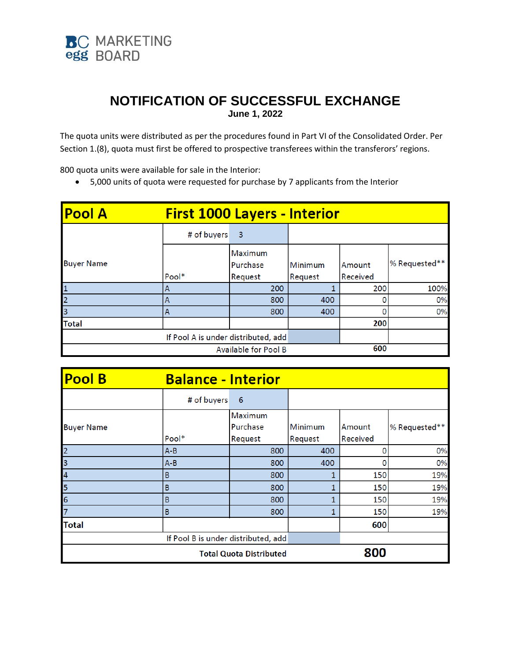

## **NOTIFICATION OF SUCCESSFUL EXCHANGE June 1, 2022**

The quota units were distributed as per the procedures found in Part VI of the Consolidated Order. Per Section 1.(8), quota must first be offered to prospective transferees within the transferors' regions.

800 quota units were available for sale in the Interior:

5,000 units of quota were requested for purchase by 7 applicants from the Interior

| <b>Pool A</b>                       | <b>First 1000 Layers - Interior</b> |                                |                           |                    |               |  |  |
|-------------------------------------|-------------------------------------|--------------------------------|---------------------------|--------------------|---------------|--|--|
|                                     | # of buyers                         | -3                             |                           |                    |               |  |  |
| <b>Buyer Name</b>                   | Pool*                               | Maximum<br>Purchase<br>Request | <b>Minimum</b><br>Request | Amount<br>Received | % Requested** |  |  |
| $\mathbf{1}$                        | А                                   | 200                            |                           | 200                | 100%          |  |  |
| $\overline{2}$                      | Α                                   | 800                            | 400                       |                    | 0%            |  |  |
| $\overline{3}$                      | Α                                   | 800                            | 400                       |                    | 0%            |  |  |
| <b>Total</b>                        |                                     |                                |                           | 200                |               |  |  |
| If Pool A is under distributed, add |                                     |                                |                           |                    |               |  |  |
|                                     | 600<br>Available for Pool B         |                                |                           |                    |               |  |  |

| <b>Pool B</b>                       | <b>Balance - Interior</b> |                |              |          |               |
|-------------------------------------|---------------------------|----------------|--------------|----------|---------------|
|                                     | # of buyers               | 6              |              |          |               |
|                                     |                           | <b>Maximum</b> |              |          |               |
| <b>Buyer Name</b>                   |                           | Purchase       | Minimum      | Amount   | % Requested** |
|                                     | Pool*                     | Request        | Request      | Received |               |
| $\overline{2}$                      | A-B                       | 800            | 400          | 0        | 0%            |
| $\overline{\mathbf{3}}$             | $A-B$                     | 800            | 400          | 0        | 0%            |
| 4                                   | В                         | 800            | 1            | 150      | 19%           |
| $\overline{5}$                      | В                         | 800            | 1            | 150      | 19%           |
| 6                                   | в                         | 800            | $\mathbf{1}$ | 150      | 19%           |
| 7                                   | B                         | 800            | 1            | 150      | 19%           |
| <b>Total</b>                        |                           |                |              | 600      |               |
| If Pool B is under distributed, add |                           |                |              |          |               |
| <b>Total Quota Distributed</b>      |                           |                | 800          |          |               |